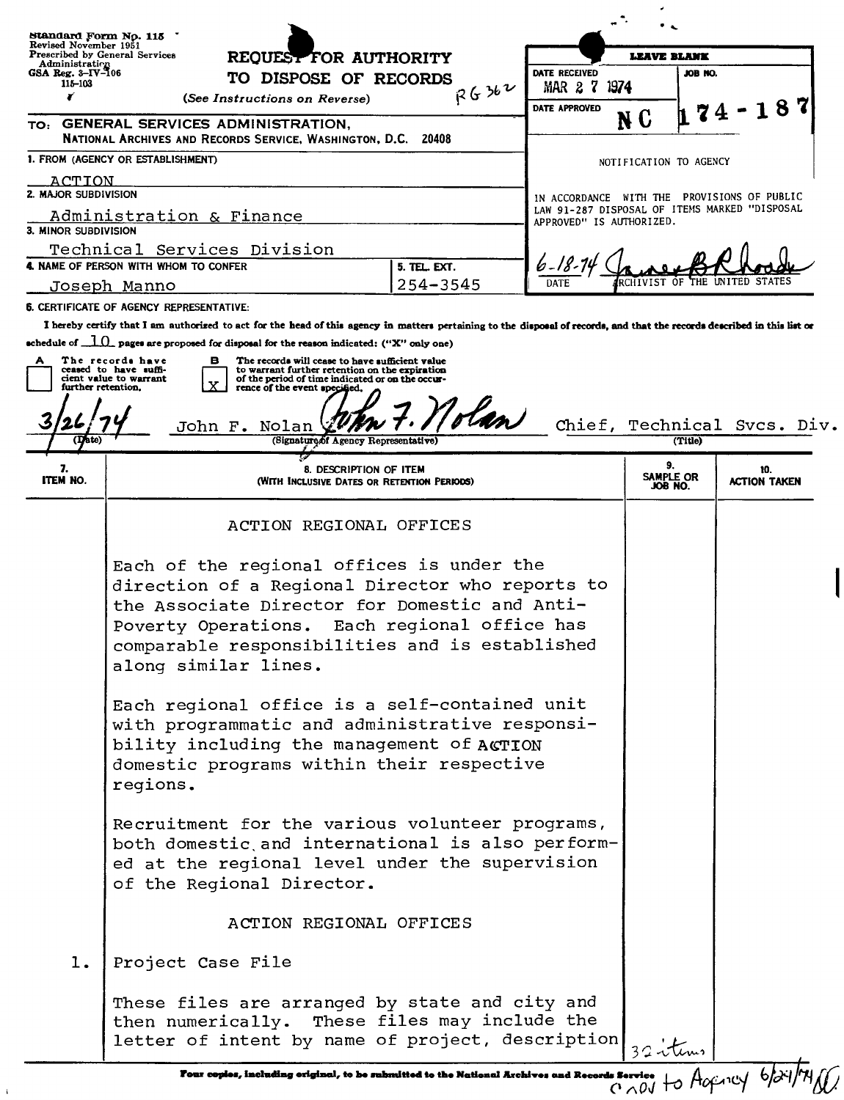| Standard Form No. 115<br>Revised November 1951<br><b>Prescribed by General Services</b><br>Administration<br>GSA Reg. 3-IV-106 | REQUEST FOR AUTHORITY<br>TO DISPOSE OF RECORDS                                                                                                                                                                                                                                                                                                                                                                                           | DATE RECEIVED            | <b>LEAVE BLANK</b><br>JOB NO.                 |                             |
|--------------------------------------------------------------------------------------------------------------------------------|------------------------------------------------------------------------------------------------------------------------------------------------------------------------------------------------------------------------------------------------------------------------------------------------------------------------------------------------------------------------------------------------------------------------------------------|--------------------------|-----------------------------------------------|-----------------------------|
| 115-103<br>¥                                                                                                                   | R6362<br>(See Instructions on Reverse)                                                                                                                                                                                                                                                                                                                                                                                                   | $MAR$ 2 $7$<br>1974      |                                               |                             |
|                                                                                                                                | TO: GENERAL SERVICES ADMINISTRATION,<br>NATIONAL ARCHIVES AND RECORDS SERVICE, WASHINGTON, D.C. 20408                                                                                                                                                                                                                                                                                                                                    | DATE APPROVED            | N C                                           | 87                          |
|                                                                                                                                | 1. FROM (AGENCY OR ESTABLISHMENT)                                                                                                                                                                                                                                                                                                                                                                                                        |                          | NOTIFICATION TO AGENCY                        |                             |
| ACTION<br>2. MAJOR SUBDIVISION                                                                                                 |                                                                                                                                                                                                                                                                                                                                                                                                                                          |                          | IN ACCORDANCE WITH THE PROVISIONS OF PUBLIC   |                             |
| 3. MINOR SUBDIVISION                                                                                                           | Administration & Finance                                                                                                                                                                                                                                                                                                                                                                                                                 | APPROVED" IS AUTHORIZED. | LAW 91-287 DISPOSAL OF ITEMS MARKED "DISPOSAL |                             |
|                                                                                                                                | Technical Services Division                                                                                                                                                                                                                                                                                                                                                                                                              |                          |                                               |                             |
|                                                                                                                                | 4. NAME OF PERSON WITH WHOM TO CONFER<br>5. TEL. EXT.                                                                                                                                                                                                                                                                                                                                                                                    |                          |                                               |                             |
|                                                                                                                                | $254 - 3545$<br>Joseph Manno                                                                                                                                                                                                                                                                                                                                                                                                             | DATE                     |                                               |                             |
|                                                                                                                                | <b>6. CERTIFICATE OF AGENCY REPRESENTATIVE:</b><br>I hereby certify that I am authorized to act for the head of this agency in matters pertaining to the disposal of records, and that the records described in this list or                                                                                                                                                                                                             |                          |                                               |                             |
| further retention.<br>(Date)                                                                                                   | schedule of $\Box$ pages are proposed for disposal for the reason indicated: ("X" only one)<br>The records have<br>The records will cease to have sufficient value<br>в.<br>ceased to have suffi-<br>to warrant further retention on the expiration<br>cient value to warrant<br>of the period of time indicated or on the occur-<br>X<br>rence of the event specified.<br>olan<br>John F. Nolan<br>(Signature of Agency Representative) |                          | (Title)                                       | Chief, Technical Svcs. Div. |
| 7.<br><b>ITEM NO.</b>                                                                                                          | v<br>8. DESCRIPTION OF ITEM<br>(With Inclusive Dates or Retention Periods)                                                                                                                                                                                                                                                                                                                                                               |                          | 9.<br>SAMPLE OR<br>JOB NO.                    | 10.<br><b>ACTION TAKEN</b>  |
|                                                                                                                                | ACTION REGIONAL OFFICES                                                                                                                                                                                                                                                                                                                                                                                                                  |                          |                                               |                             |
|                                                                                                                                | Each of the regional offices is under the<br>direction of a Regional Director who reports to<br>the Associate Director for Domestic and Anti-<br>Poverty Operations. Each regional office has<br>comparable responsibilities and is established<br>along similar lines.                                                                                                                                                                  |                          |                                               |                             |
|                                                                                                                                | Each regional office is a self-contained unit<br>with programmatic and administrative responsi-<br>bility including the management of ACTION<br>domestic programs within their respective<br>regions.                                                                                                                                                                                                                                    |                          |                                               |                             |
|                                                                                                                                | Recruitment for the various volunteer programs,<br>both domestic and international is also perform-<br>ed at the regional level under the supervision<br>of the Regional Director.                                                                                                                                                                                                                                                       |                          |                                               |                             |
|                                                                                                                                | ACTION REGIONAL OFFICES                                                                                                                                                                                                                                                                                                                                                                                                                  |                          |                                               |                             |
| l.                                                                                                                             | Project Case File                                                                                                                                                                                                                                                                                                                                                                                                                        |                          |                                               |                             |
|                                                                                                                                | These files are arranged by state and city and<br>then numerically. These files may include the<br>letter of intent by name of project, description                                                                                                                                                                                                                                                                                      |                          | 32 itums                                      |                             |

 $\bar{1}$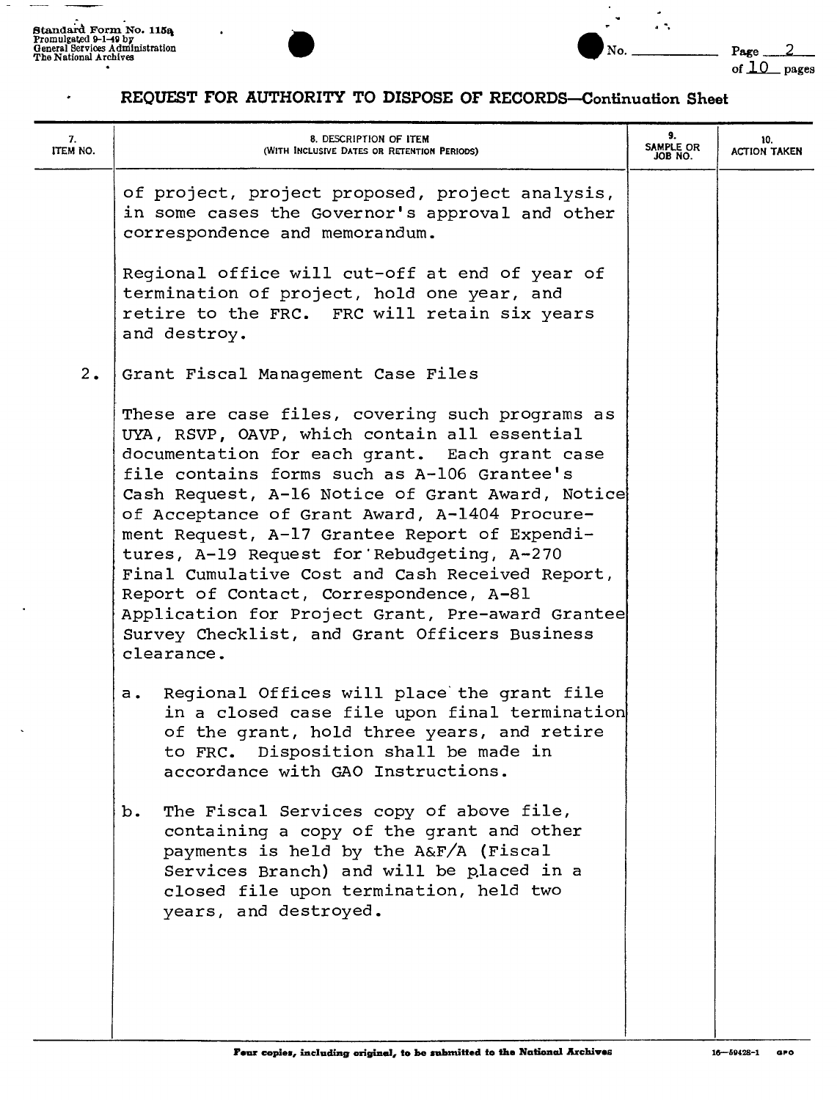$\bullet$ 





### REQUEST FOR AUTHORITY TO DISPOSE OF RECORDS-Continuation Sheet

| 7.<br>ITEM NO. | 8. DESCRIPTION OF ITEM<br>(WITH INCLUSIVE DATES OR RETENTION PERIODS)                                                                                                                                                                                                                                                                                                                                                                                                                                                                                                                                                | 9.<br>SAMPLE OR<br>JOB NO. | 10.<br><b>ACTION TAKEN</b> |
|----------------|----------------------------------------------------------------------------------------------------------------------------------------------------------------------------------------------------------------------------------------------------------------------------------------------------------------------------------------------------------------------------------------------------------------------------------------------------------------------------------------------------------------------------------------------------------------------------------------------------------------------|----------------------------|----------------------------|
|                | of project, project proposed, project analysis,<br>in some cases the Governor's approval and other<br>correspondence and memorandum.                                                                                                                                                                                                                                                                                                                                                                                                                                                                                 |                            |                            |
|                | Reqional office will cut-off at end of year of<br>termination of project, hold one year, and<br>retire to the FRC. FRC will retain six years<br>and destroy.                                                                                                                                                                                                                                                                                                                                                                                                                                                         |                            |                            |
| 2.             | Grant Fiscal Management Case Files                                                                                                                                                                                                                                                                                                                                                                                                                                                                                                                                                                                   |                            |                            |
|                | These are case files, covering such programs as<br>UYA, RSVP, OAVP, which contain all essential<br>documentation for each grant. Each grant case<br>file contains forms such as A-106 Grantee's<br>Cash Request, A-16 Notice of Grant Award, Notice<br>of Acceptance of Grant Award, A-1404 Procure-<br>ment Request, A-17 Grantee Report of Expendi-<br>tures, A-19 Request for Rebudgeting, A-270<br>Final Cumulative Cost and Cash Received Report,<br>Report of Contact, Correspondence, A-81<br>Application for Project Grant, Pre-award Grantee<br>Survey Checklist, and Grant Officers Business<br>clearance. |                            |                            |
|                | Regional Offices will place the grant file<br>$a \cdot$<br>in a closed case file upon final termination<br>of the grant, hold three years, and retire<br>to FRC. Disposition shall be made in<br>accordance with GAO Instructions                                                                                                                                                                                                                                                                                                                                                                                    |                            |                            |
|                | The Fiscal Services copy of above file,<br>b.<br>containing a copy of the grant and other<br>payments is held by the A&F/A (Fiscal<br>Services Branch) and will be placed in a<br>closed file upon termination, held two<br>years, and destroyed.                                                                                                                                                                                                                                                                                                                                                                    |                            |                            |
|                |                                                                                                                                                                                                                                                                                                                                                                                                                                                                                                                                                                                                                      |                            |                            |

1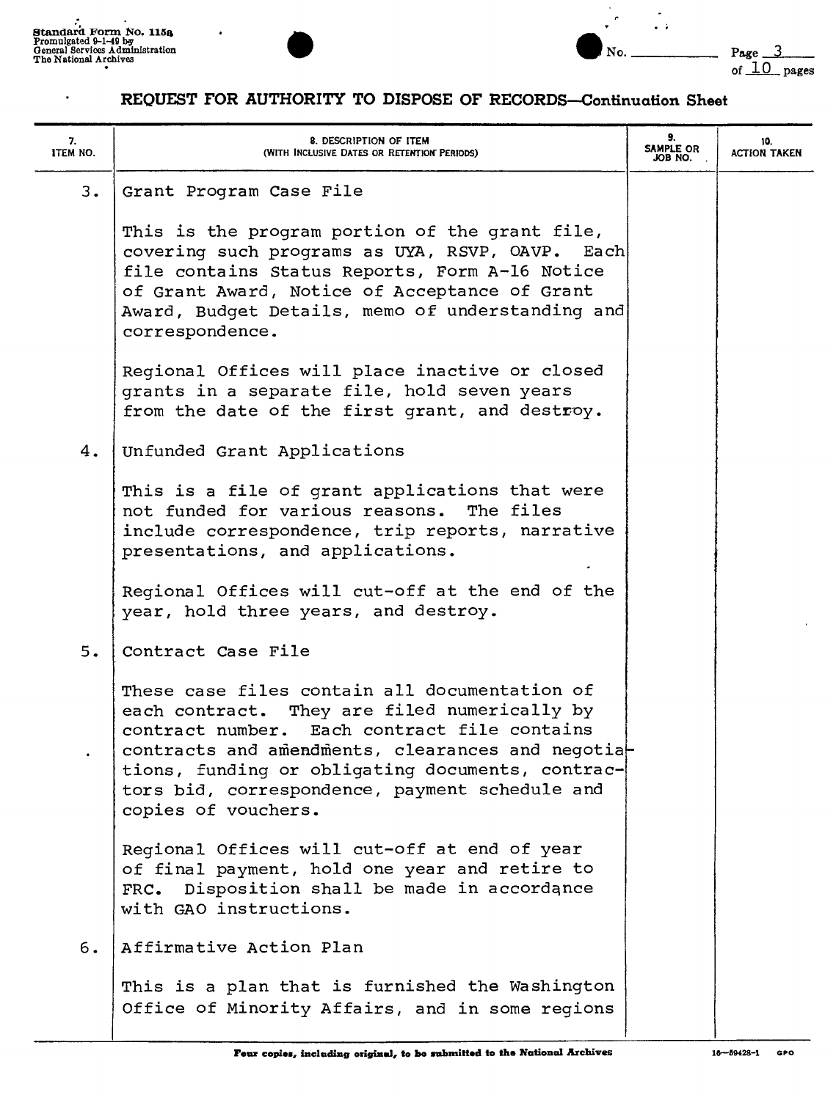$\ddot{\phantom{0}}$ 





 $\bullet$ 

| 7.<br><b>ITEM NO.</b> | 8. DESCRIPTION OF ITEM<br>(WITH INCLUSIVE DATES OR RETENTION PERIODS)                                                                                                                                                                                                                                                           | 9.<br>SAMPLE OR<br>JOB NO. | 10.<br><b>ACTION TAKEN</b> |
|-----------------------|---------------------------------------------------------------------------------------------------------------------------------------------------------------------------------------------------------------------------------------------------------------------------------------------------------------------------------|----------------------------|----------------------------|
| 3.                    | Grant Program Case File                                                                                                                                                                                                                                                                                                         |                            |                            |
|                       | This is the program portion of the grant file,<br>covering such programs as UYA, RSVP, OAVP. Each<br>file contains Status Reports, Form A-16 Notice<br>of Grant Award, Notice of Acceptance of Grant<br>Award, Budget Details, memo of understanding and<br>correspondence.                                                     |                            |                            |
|                       | Regional Offices will place inactive or closed<br>grants in a separate file, hold seven years<br>from the date of the first grant, and destroy.                                                                                                                                                                                 |                            |                            |
| 4.                    | Unfunded Grant Applications                                                                                                                                                                                                                                                                                                     |                            |                            |
|                       | This is a file of grant applications that were<br>not funded for various reasons.<br>The files<br>include correspondence, trip reports, narrative<br>presentations, and applications.                                                                                                                                           |                            |                            |
|                       | Regional Offices will cut-off at the end of the<br>year, hold three years, and destroy.                                                                                                                                                                                                                                         |                            |                            |
| 5.                    | Contract Case File                                                                                                                                                                                                                                                                                                              |                            |                            |
|                       | These case files contain all documentation of<br>each contract. They are filed numerically by<br>contract number. Each contract file contains<br>contracts and amendments, clearances and negotia-<br>tions, funding or obligating documents, contrac-<br>tors bid, correspondence, payment schedule and<br>copies of vouchers. |                            |                            |
|                       | Regional Offices will cut-off at end of year<br>of final payment, hold one year and retire to<br>FRC. Disposition shall be made in accordance<br>with GAO instructions.                                                                                                                                                         |                            |                            |
| 6.                    | Affirmative Action Plan                                                                                                                                                                                                                                                                                                         |                            |                            |
|                       | This is a plan that is furnished the Washington<br>Office of Minority Affairs, and in some regions                                                                                                                                                                                                                              |                            |                            |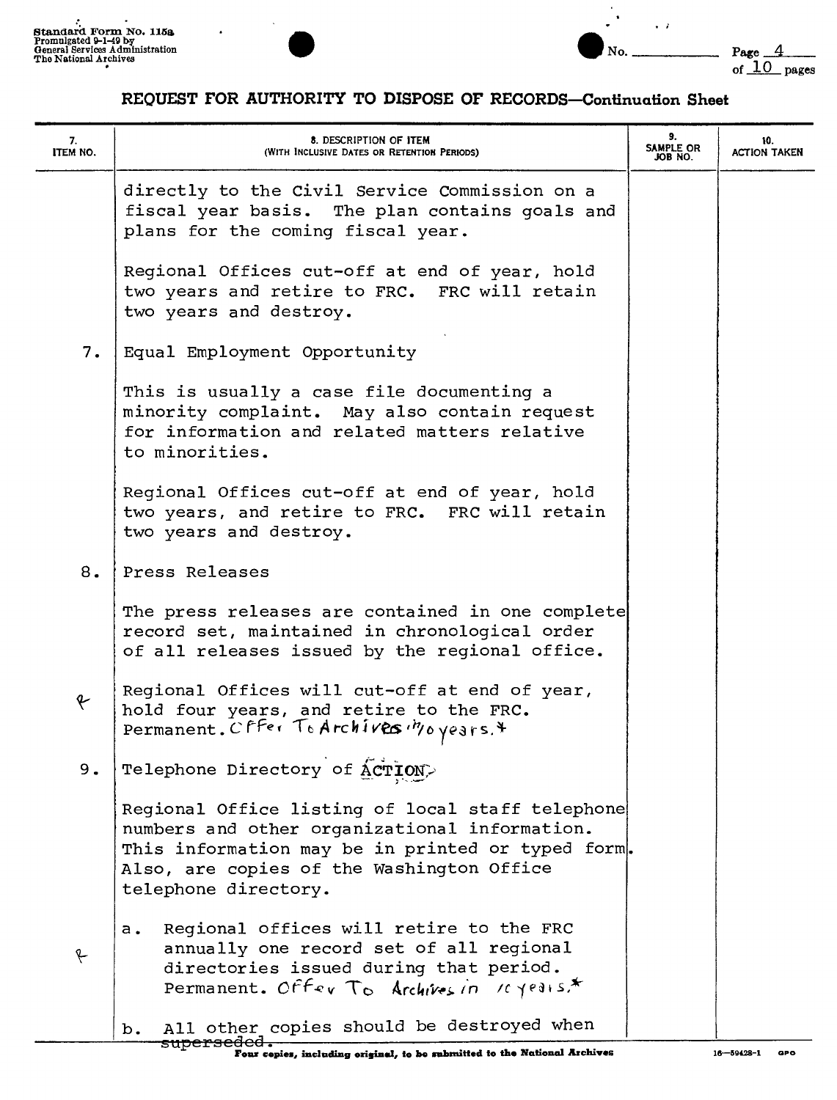

 $\ddot{\phantom{a}}$ 



| 7.<br>ITEM NO. | 8. DESCRIPTION OF ITEM<br>(WITH INCLUSIVE DATES OR RETENTION PERIODS)                                                                                                                                                       | 9.<br>SAMPLE OR<br>JOB NO. | 10.<br><b>ACTION TAKEN</b> |
|----------------|-----------------------------------------------------------------------------------------------------------------------------------------------------------------------------------------------------------------------------|----------------------------|----------------------------|
|                | directly to the Civil Service Commission on a<br>fiscal year basis. The plan contains goals and<br>plans for the coming fiscal year.                                                                                        |                            |                            |
|                | Regional Offices cut-off at end of year, hold<br>two years and retire to FRC. FRC will retain<br>two years and destroy.                                                                                                     |                            |                            |
| 7.             | Equal Employment Opportunity                                                                                                                                                                                                |                            |                            |
|                | This is usually a case file documenting a<br>minority complaint. May also contain request<br>for information and related matters relative<br>to minorities.                                                                 |                            |                            |
|                | Regional Offices cut-off at end of year, hold<br>two years, and retire to FRC. FRC will retain<br>two years and destroy.                                                                                                    |                            |                            |
| 8.             | Press Releases                                                                                                                                                                                                              |                            |                            |
|                | The press releases are contained in one complete<br>record set, maintained in chronological order<br>of all releases issued by the regional office.                                                                         |                            |                            |
| f              | Regional Offices will cut-off at end of year,<br>hold four years, and retire to the FRC.<br>Permanent. Cffer To Archives Moyears. *                                                                                         |                            |                            |
| 9.             | Telephone Directory of ACTION>                                                                                                                                                                                              |                            |                            |
|                | Regional Office listing of local staff telephone<br>numbers and other organizational information.<br>This information may be in printed or typed form.<br>Also, are copies of the Washington Office<br>telephone directory. |                            |                            |
| f              | Regional offices will retire to the FRC<br>$a_{\bullet}$<br>annually one record set of all regional<br>directories issued during that period.<br>Permanent. Offer To Archives in 10 years.*                                 |                            |                            |
|                | All other copies should be destroyed when<br>$b_{\bullet}$<br><del>superseded.</del>                                                                                                                                        |                            |                            |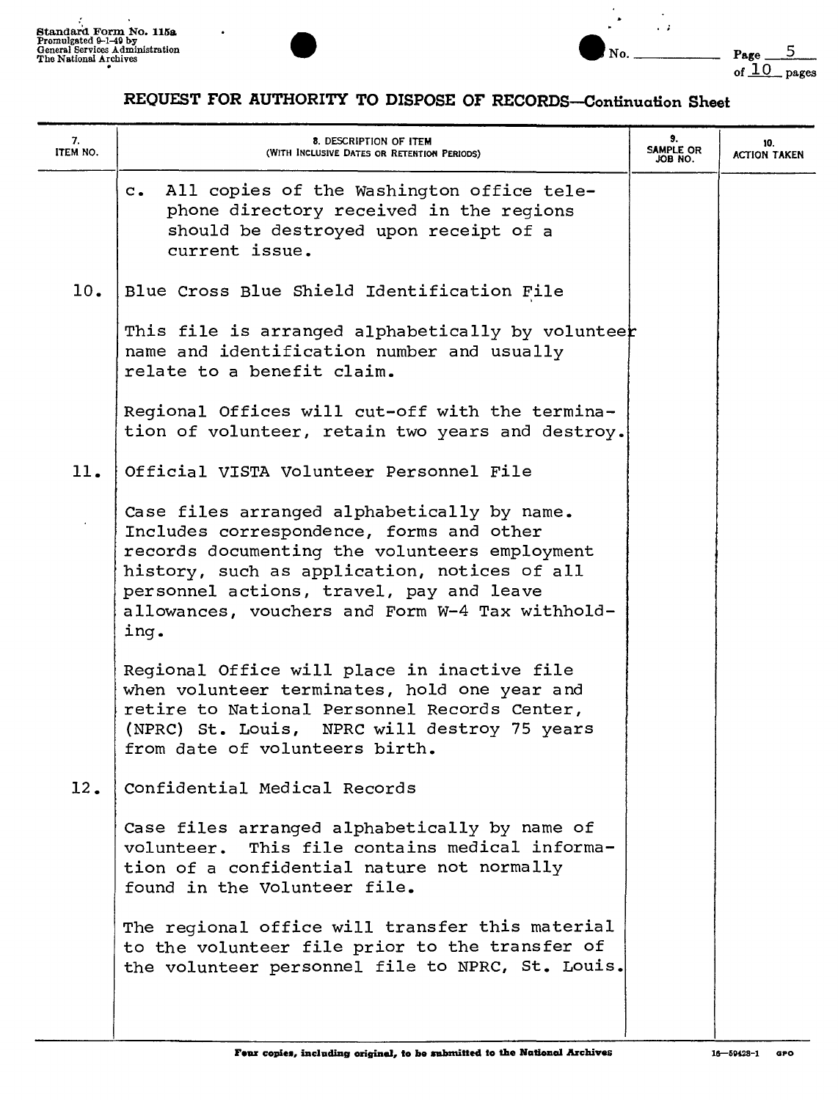



# REQUEST FOR AUTHORITY TO DISPOSE OF RECORDS-Continuation Sheet

| 7.<br>ITEM NO. | 8. DESCRIPTION OF ITEM<br>(WITH INCLUSIVE DATES OR RETENTION PERIODS)                                                                                                                                                                                                                           | 9.<br>SAMPLE OR<br>JOB NO. | 10.<br><b>ACTION TAKEN</b> |
|----------------|-------------------------------------------------------------------------------------------------------------------------------------------------------------------------------------------------------------------------------------------------------------------------------------------------|----------------------------|----------------------------|
|                | c. All copies of the Washington office tele-<br>phone directory received in the regions<br>should be destroyed upon receipt of a<br>current issue.                                                                                                                                              |                            |                            |
| 10.            | Blue Cross Blue Shield Identification File                                                                                                                                                                                                                                                      |                            |                            |
|                | This file is arranged alphabetically by volunteer<br>name and identification number and usually<br>relate to a benefit claim.                                                                                                                                                                   |                            |                            |
|                | Regional Offices will cut-off with the termina-<br>tion of volunteer, retain two years and destroy.                                                                                                                                                                                             |                            |                            |
| 11.            | Official VISTA Volunteer Personnel File                                                                                                                                                                                                                                                         |                            |                            |
|                | Case files arranged alphabetically by name.<br>Includes correspondence, forms and other<br>records documenting the volunteers employment<br>history, such as application, notices of all<br>personnel actions, travel, pay and leave<br>allowances, vouchers and Form W-4 Tax withhold-<br>ing. |                            |                            |
|                | Regional Office will place in inactive file<br>when volunteer terminates, hold one year and<br>retire to National Personnel Records Center,<br>(NPRC) St. Louis, NPRC will destroy 75 years<br>from date of volunteers birth.                                                                   |                            |                            |
| 12.            | Confidential Medical Records                                                                                                                                                                                                                                                                    |                            |                            |
|                | Case files arranged alphabetically by name of<br>volunteer. This file contains medical informa-<br>tion of a confidential nature not normally<br>found in the Volunteer file.                                                                                                                   |                            |                            |
|                | The regional office will transfer this material<br>to the volunteer file prior to the transfer of<br>the volunteer personnel file to NPRC, St. Louis.                                                                                                                                           |                            |                            |

ł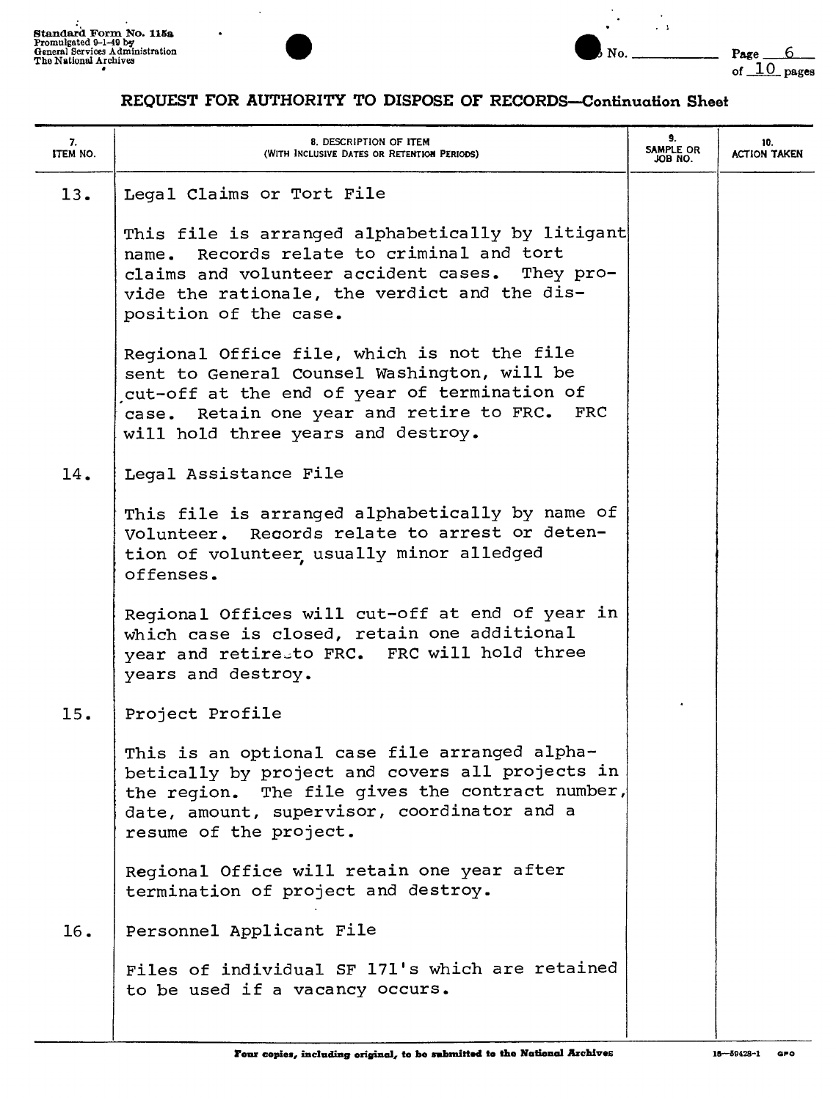



| 7.<br>ITEM NO. | 8. DESCRIPTION OF ITEM<br>(WITH INCLUSIVE DATES OR RETENTION PERIODS)                                                                                                                                                            | 9.<br>SAMPLE OR<br>JOB NO. | 10.<br><b>ACTION TAKEN</b> |
|----------------|----------------------------------------------------------------------------------------------------------------------------------------------------------------------------------------------------------------------------------|----------------------------|----------------------------|
| 13.            | Legal Claims or Tort File                                                                                                                                                                                                        |                            |                            |
|                | This file is arranged alphabetically by litigant<br>Records relate to criminal and tort<br>name.<br>claims and volunteer accident cases. They pro-<br>vide the rationale, the verdict and the dis-<br>position of the case.      |                            |                            |
|                | Regional Office file, which is not the file<br>sent to General Counsel Washington, will be<br>cut-off at the end of year of termination of<br>case. Retain one year and retire to FRC. FRC<br>will hold three years and destroy. |                            |                            |
| 14.            | Legal Assistance File                                                                                                                                                                                                            |                            |                            |
|                | This file is arranged alphabetically by name of<br>Volunteer. Records relate to arrest or deten-<br>tion of volunteer usually minor alledged<br>offenses.                                                                        |                            |                            |
|                | Regional Offices will cut-off at end of year in<br>which case is closed, retain one additional<br>year and retiresto FRC. FRC will hold three<br>years and destroy.                                                              |                            |                            |
| 15.            | Project Profile                                                                                                                                                                                                                  |                            |                            |
|                | This is an optional case file arranged alpha-<br>betically by project and covers all projects in<br>the region. The file gives the contract number,<br>date, amount, supervisor, coordinator and a<br>resume of the project.     |                            |                            |
|                | Regional Office will retain one year after<br>termination of project and destroy.                                                                                                                                                |                            |                            |
| 16.            | Personnel Applicant File                                                                                                                                                                                                         |                            |                            |
|                | Files of individual SF 171's which are retained<br>to be used if a vacancy occurs.                                                                                                                                               |                            |                            |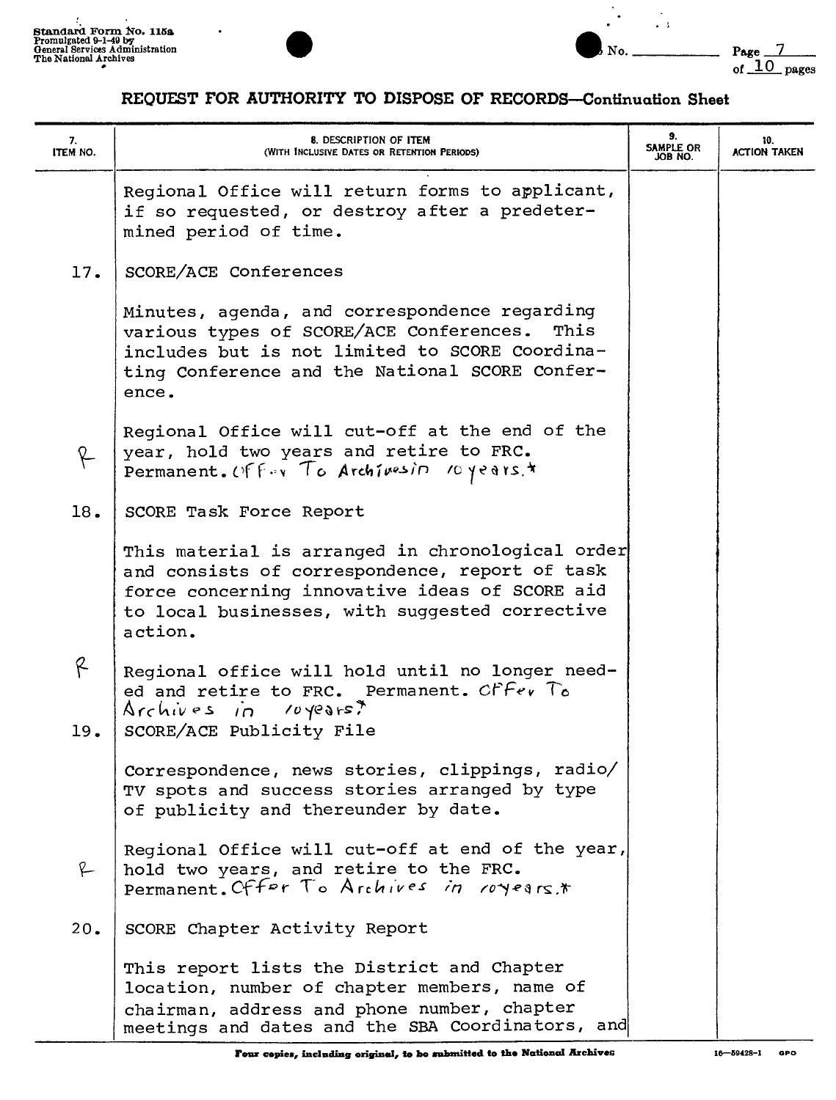÷



 $\ddot{\phantom{0}}$ 



| 7.<br>ITEM NO. | 8. DESCRIPTION OF ITEM<br>(WITH INCLUSIVE DATES OR RETENTION PERIODS)                                                                                                                                             | 9.<br>SAMPLE OR<br>JOB NO. | 10.<br><b>ACTION TAKEN</b> |
|----------------|-------------------------------------------------------------------------------------------------------------------------------------------------------------------------------------------------------------------|----------------------------|----------------------------|
|                | Regional Office will return forms to applicant,<br>if so requested, or destroy after a predeter-<br>mined period of time.                                                                                         |                            |                            |
| 17.            | SCORE/ACE Conferences                                                                                                                                                                                             |                            |                            |
|                | Minutes, agenda, and correspondence regarding<br>various types of SCORE/ACE Conferences.<br>This<br>includes but is not limited to SCORE Coordina-<br>ting Conference and the National SCORE Confer-<br>ence.     |                            |                            |
| f              | Regional Office will cut-off at the end of the<br>year, hold two years and retire to FRC.<br>Permanent. Offer To Archivesin 10 years.*                                                                            |                            |                            |
| 18.            | SCORE Task Force Report                                                                                                                                                                                           |                            |                            |
|                | This material is arranged in chronological order<br>and consists of correspondence, report of task<br>force concerning innovative ideas of SCORE aid<br>to local businesses, with suggested corrective<br>action. |                            |                            |
| R<br>19.       | Regional office will hold until no longer need-<br>ed and retire to FRC. Permanent. CFFev To<br>Archives in royears?<br>SCORE/ACE Publicity File                                                                  |                            |                            |
|                | Correspondence, news stories, clippings, radio/<br>TV spots and success stories arranged by type<br>of publicity and thereunder by date.                                                                          |                            |                            |
| R-             | Regional Office will cut-off at end of the year,<br>hold two years, and retire to the FRC.<br>Permanent. Offer To Archives in royears,*                                                                           |                            |                            |
| 20.            | SCORE Chapter Activity Report                                                                                                                                                                                     |                            |                            |
|                | This report lists the District and Chapter<br>location, number of chapter members, name of<br>chairman, address and phone number, chapter<br>meetings and dates and the SBA Coordinators, and                     |                            |                            |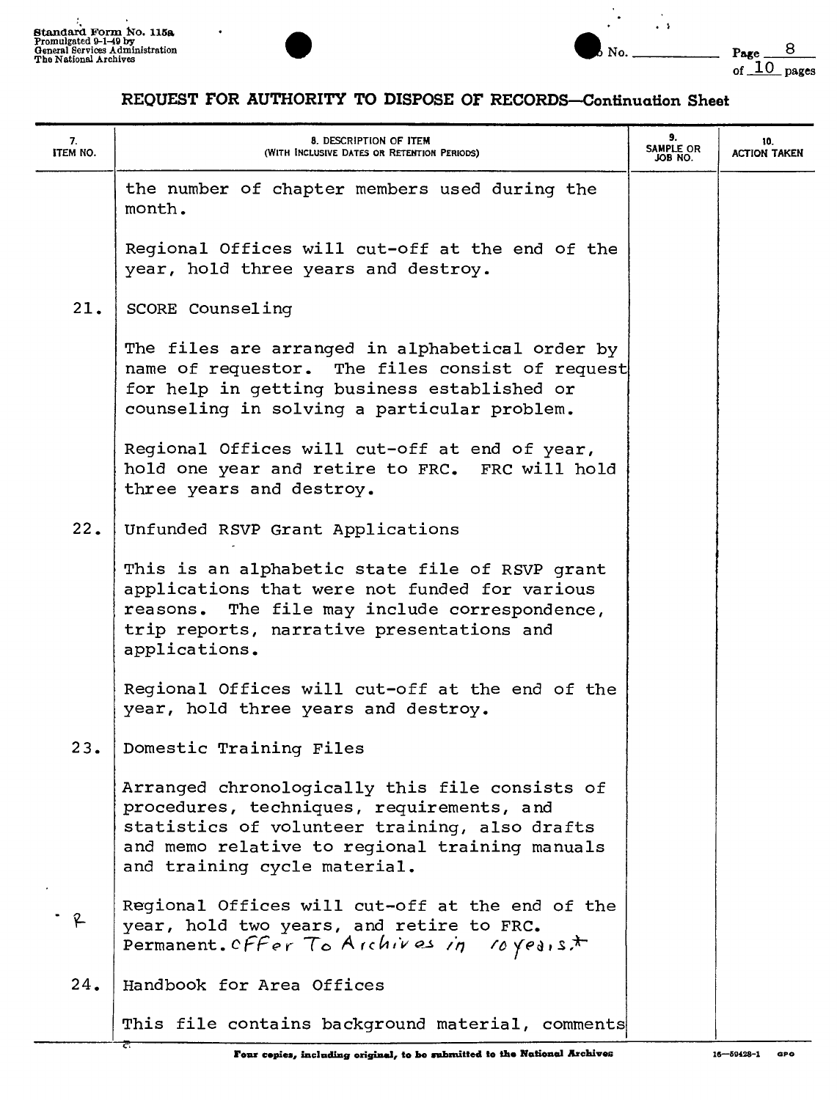



| 7.<br><b>ITEM NO.</b> | 8. DESCRIPTION OF ITEM<br>(WITH INCLUSIVE DATES OR RETENTION PERIODS)                                                                                                                                                          | 9.<br>SAMPLE OR<br>JOB NO. | 10.<br><b>ACTION TAKEN</b> |
|-----------------------|--------------------------------------------------------------------------------------------------------------------------------------------------------------------------------------------------------------------------------|----------------------------|----------------------------|
|                       | the number of chapter members used during the<br>month.                                                                                                                                                                        |                            |                            |
|                       | Regional Offices will cut-off at the end of the<br>year, hold three years and destroy.                                                                                                                                         |                            |                            |
| 21.                   | SCORE Counseling                                                                                                                                                                                                               |                            |                            |
|                       | The files are arranged in alphabetical order by<br>name of requestor. The files consist of request<br>for help in getting business established or<br>counseling in solving a particular problem.                               |                            |                            |
|                       | Regional Offices will cut-off at end of year,<br>hold one year and retire to FRC. FRC will hold<br>three years and destroy.                                                                                                    |                            |                            |
| 22.                   | Unfunded RSVP Grant Applications                                                                                                                                                                                               |                            |                            |
|                       | This is an alphabetic state file of RSVP grant<br>applications that were not funded for various<br>reasons. The file may include correspondence,<br>trip reports, narrative presentations and<br>applications.                 |                            |                            |
|                       | Regional Offices will cut-off at the end of the<br>year, hold three years and destroy.                                                                                                                                         |                            |                            |
| 23.                   | Domestic Training Files                                                                                                                                                                                                        |                            |                            |
|                       | Arranged chronologically this file consists of<br>procedures, techniques, requirements, and<br>statistics of volunteer training, also drafts<br>and memo relative to regional training manuals<br>and training cycle material. |                            |                            |
| $\mathcal{L}$         | Regional Offices will cut-off at the end of the<br>year, hold two years, and retire to FRC.<br>Permanent. Offer To Archives in<br>$10 \text{ years}$                                                                           |                            |                            |
| 24.                   | Handbook for Area Offices                                                                                                                                                                                                      |                            |                            |
|                       | This file contains background material, comments                                                                                                                                                                               |                            |                            |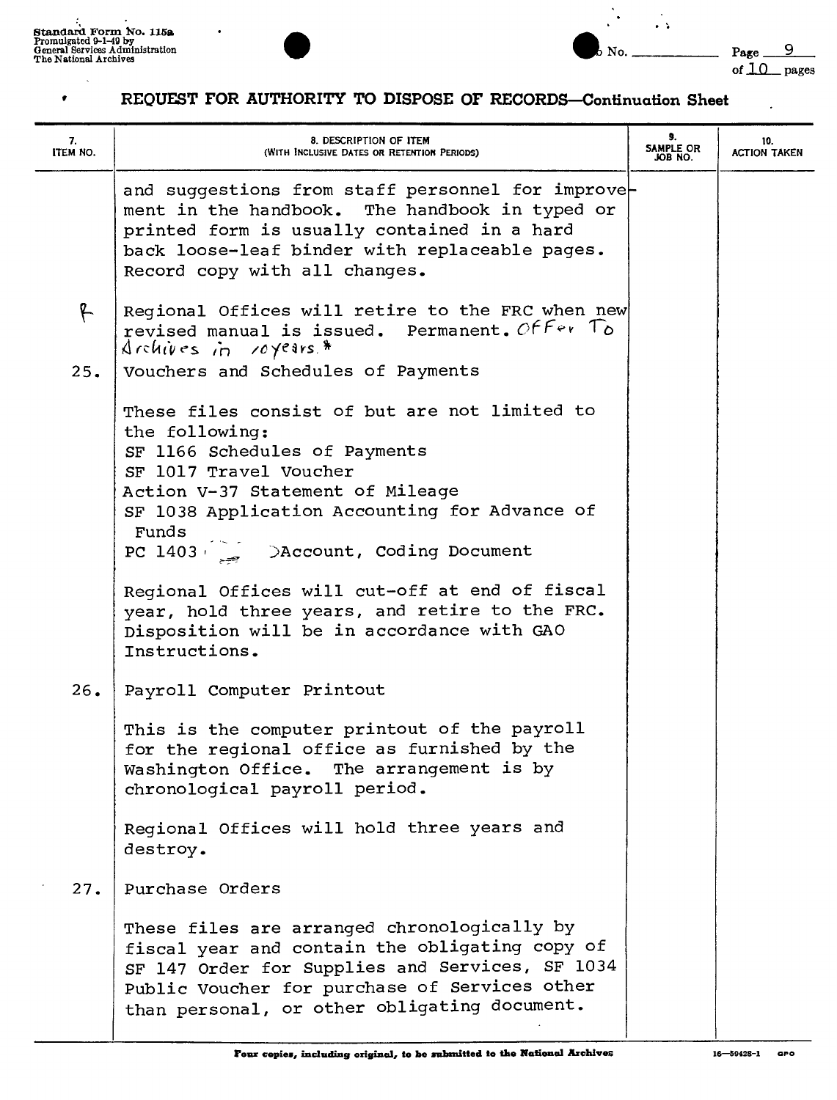$\bullet$ 





 $\mathbf{L}$ 

| 7.<br>ITEM NO. | 8. DESCRIPTION OF ITEM<br>(WITH INCLUSIVE DATES OR RETENTION PERIODS)                                                                                                                                                                                                                  | 9.<br>SAMPLE OR<br>JOB NO. | 10.<br><b>ACTION TAKEN</b> |
|----------------|----------------------------------------------------------------------------------------------------------------------------------------------------------------------------------------------------------------------------------------------------------------------------------------|----------------------------|----------------------------|
|                | and suggestions from staff personnel for improve-<br>ment in the handbook. The handbook in typed or<br>printed form is usually contained in a hard<br>back loose-leaf binder with replaceable pages.<br>Record copy with all changes.                                                  |                            |                            |
| f.             | Regional Offices will retire to the FRC when new<br>revised manual is issued. Permanent. Offer To<br>$Archives$ in royers.*                                                                                                                                                            |                            |                            |
| 25.            | Vouchers and Schedules of Payments                                                                                                                                                                                                                                                     |                            |                            |
|                | These files consist of but are not limited to<br>the following:<br>SF 1166 Schedules of Payments<br>SF 1017 Travel Voucher<br>Action V-37 Statement of Mileage<br>SF 1038 Application Accounting for Advance of<br>Funds<br>PC 1403 > $\sum_{n=1}^{\infty}$ > Account, Coding Document |                            |                            |
|                | Regional Offices will cut-off at end of fiscal<br>year, hold three years, and retire to the FRC.<br>Disposition will be in accordance with GAO<br>Instructions.                                                                                                                        |                            |                            |
| 26.            | Payroll Computer Printout                                                                                                                                                                                                                                                              |                            |                            |
|                | This is the computer printout of the payroll<br>for the regional office as furnished by the<br>Washington Office. The arrangement is by<br>chronological payroll period.                                                                                                               |                            |                            |
|                | Regional Offices will hold three years and<br>destroy.                                                                                                                                                                                                                                 |                            |                            |
| 27.            | Purchase Orders                                                                                                                                                                                                                                                                        |                            |                            |
|                | These files are arranged chronologically by<br>fiscal year and contain the obligating copy of<br>SF 147 Order for Supplies and Services, SF 1034<br>Public Voucher for purchase of Services other<br>than personal, or other obligating document.                                      |                            |                            |